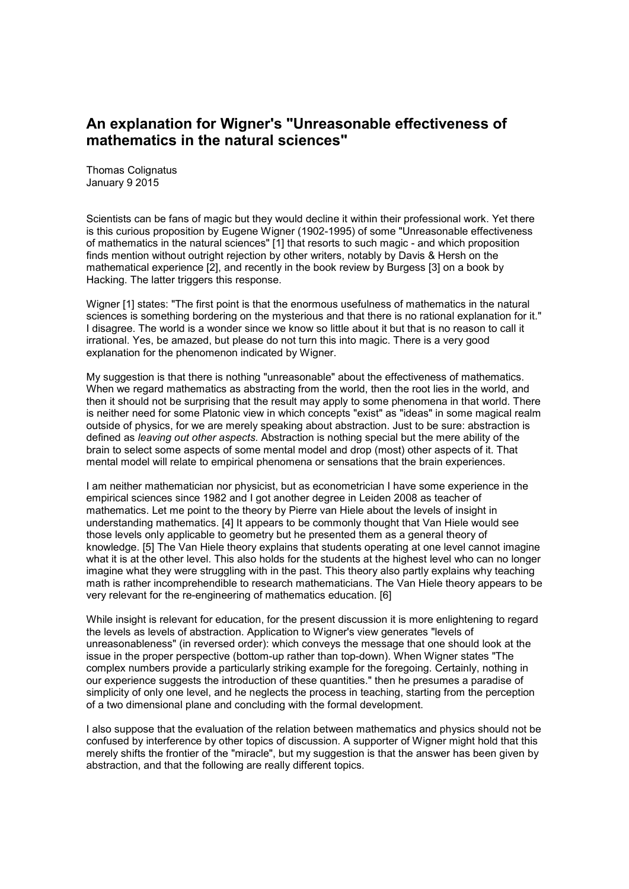## **An explanation for Wigner's "Unreasonable effectiveness of mathematics in the natural sciences"**

Thomas Colignatus January 9 2015

Scientists can be fans of magic but they would decline it within their professional work. Yet there is this curious proposition by Eugene Wigner (1902-1995) of some "Unreasonable effectiveness of mathematics in the natural sciences" [1] that resorts to such magic - and which proposition finds mention without outright rejection by other writers, notably by Davis & Hersh on the mathematical experience [2], and recently in the book review by Burgess [3] on a book by Hacking. The latter triggers this response.

Wigner [1] states: "The first point is that the enormous usefulness of mathematics in the natural sciences is something bordering on the mysterious and that there is no rational explanation for it." I disagree. The world is a wonder since we know so little about it but that is no reason to call it irrational. Yes, be amazed, but please do not turn this into magic. There is a very good explanation for the phenomenon indicated by Wigner.

My suggestion is that there is nothing "unreasonable" about the effectiveness of mathematics. When we regard mathematics as abstracting from the world, then the root lies in the world, and then it should not be surprising that the result may apply to some phenomena in that world. There is neither need for some Platonic view in which concepts "exist" as "ideas" in some magical realm outside of physics, for we are merely speaking about abstraction. Just to be sure: abstraction is defined as *leaving out other aspects.* Abstraction is nothing special but the mere ability of the brain to select some aspects of some mental model and drop (most) other aspects of it. That mental model will relate to empirical phenomena or sensations that the brain experiences.

I am neither mathematician nor physicist, but as econometrician I have some experience in the empirical sciences since 1982 and I got another degree in Leiden 2008 as teacher of mathematics. Let me point to the theory by Pierre van Hiele about the levels of insight in understanding mathematics. [4] It appears to be commonly thought that Van Hiele would see those levels only applicable to geometry but he presented them as a general theory of knowledge. [5] The Van Hiele theory explains that students operating at one level cannot imagine what it is at the other level. This also holds for the students at the highest level who can no longer imagine what they were struggling with in the past. This theory also partly explains why teaching math is rather incomprehendible to research mathematicians. The Van Hiele theory appears to be very relevant for the re-engineering of mathematics education. [6]

While insight is relevant for education, for the present discussion it is more enlightening to regard the levels as levels of abstraction. Application to Wigner's view generates "levels of unreasonableness" (in reversed order): which conveys the message that one should look at the issue in the proper perspective (bottom-up rather than top-down). When Wigner states "The complex numbers provide a particularly striking example for the foregoing. Certainly, nothing in our experience suggests the introduction of these quantities." then he presumes a paradise of simplicity of only one level, and he neglects the process in teaching, starting from the perception of a two dimensional plane and concluding with the formal development.

I also suppose that the evaluation of the relation between mathematics and physics should not be confused by interference by other topics of discussion. A supporter of Wigner might hold that this merely shifts the frontier of the "miracle", but my suggestion is that the answer has been given by abstraction, and that the following are really different topics.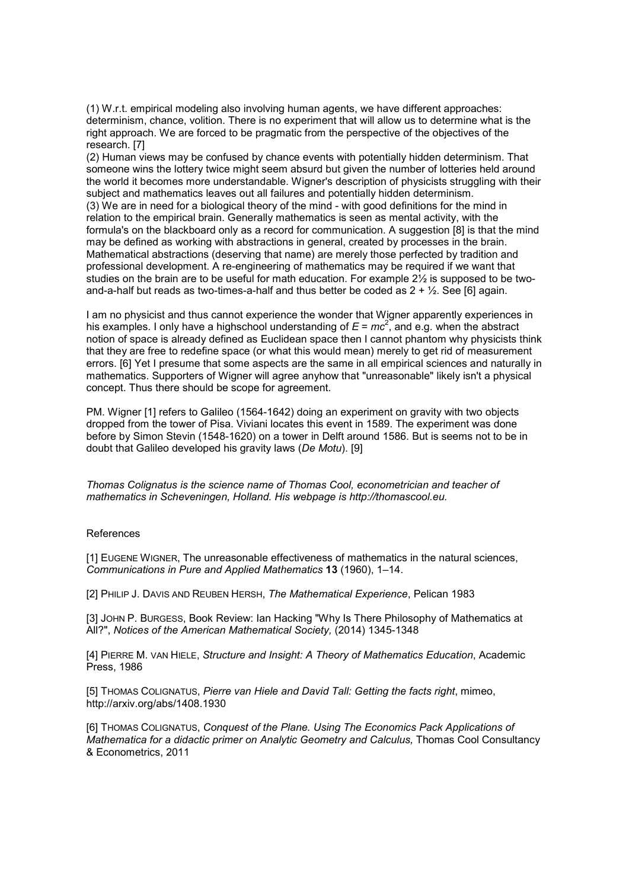(1) W.r.t. empirical modeling also involving human agents, we have different approaches: determinism, chance, volition. There is no experiment that will allow us to determine what is the right approach. We are forced to be pragmatic from the perspective of the objectives of the research. [7]

(2) Human views may be confused by chance events with potentially hidden determinism. That someone wins the lottery twice might seem absurd but given the number of lotteries held around the world it becomes more understandable. Wigner's description of physicists struggling with their subject and mathematics leaves out all failures and potentially hidden determinism. (3) We are in need for a biological theory of the mind - with good definitions for the mind in relation to the empirical brain. Generally mathematics is seen as mental activity, with the formula's on the blackboard only as a record for communication. A suggestion [8] is that the mind may be defined as working with abstractions in general, created by processes in the brain. Mathematical abstractions (deserving that name) are merely those perfected by tradition and professional development. A re-engineering of mathematics may be required if we want that studies on the brain are to be useful for math education. For example 2½ is supposed to be twoand-a-half but reads as two-times-a-half and thus better be coded as  $2 + \frac{1}{2}$ . See [6] again.

I am no physicist and thus cannot experience the wonder that Wigner apparently experiences in his examples. I only have a highschool understanding of  $E = mc^2$ , and e.g. when the abstract notion of space is already defined as Euclidean space then I cannot phantom why physicists think that they are free to redefine space (or what this would mean) merely to get rid of measurement errors. [6] Yet I presume that some aspects are the same in all empirical sciences and naturally in mathematics. Supporters of Wigner will agree anyhow that "unreasonable" likely isn't a physical concept. Thus there should be scope for agreement.

PM. Wigner [1] refers to Galileo (1564-1642) doing an experiment on gravity with two objects dropped from the tower of Pisa. Viviani locates this event in 1589. The experiment was done before by Simon Stevin (1548-1620) on a tower in Delft around 1586. But is seems not to be in doubt that Galileo developed his gravity laws (*De Motu*). [9]

*Thomas Colignatus is the science name of Thomas Cool, econometrician and teacher of mathematics in Scheveningen, Holland. His webpage is http://thomascool.eu.*

## References

[1] EUGENE WIGNER, The unreasonable effectiveness of mathematics in the natural sciences, *Communications in Pure and Applied Mathematics* **13** (1960), 1–14.

[2] PHILIP J. DAVIS AND REUBEN HERSH, *The Mathematical Experience*, Pelican 1983

[3] JOHN P. BURGESS, Book Review: Ian Hacking "Why Is There Philosophy of Mathematics at All?", *Notices of the American Mathematical Society,* (2014) 1345-1348

[4] PIERRE M. VAN HIELE, *Structure and Insight: A Theory of Mathematics Education*, Academic Press, 1986

[5] THOMAS COLIGNATUS, *Pierre van Hiele and David Tall: Getting the facts right*, mimeo, http://arxiv.org/abs/1408.1930

[6] THOMAS COLIGNATUS, *Conquest of the Plane. Using The Economics Pack Applications of Mathematica for a didactic primer on Analytic Geometry and Calculus, Thomas Cool Consultancy* & Econometrics, 2011